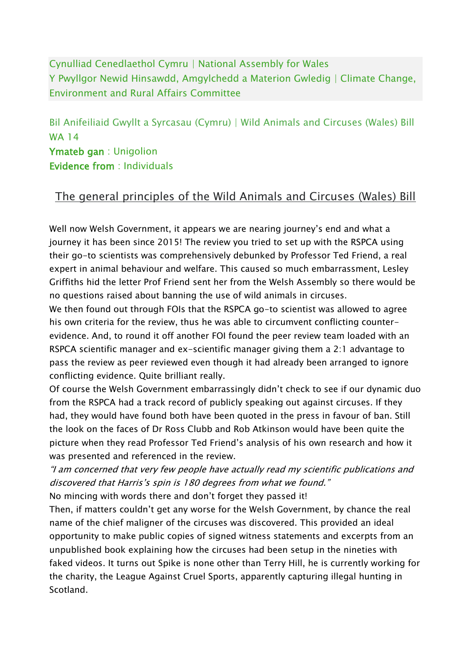Cynulliad Cenedlaethol Cymru | National Assembly for Wales Y Pwyllgor Newid Hinsawdd, Amgylchedd a Materion Gwledig | Climate Change, Environment and Rural Affairs Committee

Bil Anifeiliaid Gwyllt a Syrcasau (Cymru) | Wild Animals and Circuses (Wales) Bill WA 14 Ymateb gan : Unigolion

Evidence from : Individuals

## The general principles of the Wild Animals and Circuses (Wales) Bill

Well now Welsh Government, it appears we are nearing journey's end and what a journey it has been since 2015! The review you tried to set up with the RSPCA using their go-to scientists was comprehensively debunked by Professor Ted Friend, a real expert in animal behaviour and welfare. This caused so much embarrassment, Lesley Griffiths hid the letter Prof Friend sent her from the Welsh Assembly so there would be no questions raised about banning the use of wild animals in circuses.

We then found out through FOIs that the RSPCA go-to scientist was allowed to agree his own criteria for the review, thus he was able to circumvent conflicting counterevidence. And, to round it off another FOI found the peer review team loaded with an RSPCA scientific manager and ex-scientific manager giving them a 2:1 advantage to pass the review as peer reviewed even though it had already been arranged to ignore conflicting evidence. Quite brilliant really.

Of course the Welsh Government embarrassingly didn't check to see if our dynamic duo from the RSPCA had a track record of publicly speaking out against circuses. If they had, they would have found both have been quoted in the press in favour of ban. Still the look on the faces of Dr Ross Clubb and Rob Atkinson would have been quite the picture when they read Professor Ted Friend's analysis of his own research and how it was presented and referenced in the review.

"I am concerned that very few people have actually read my scientific publications and discovered that Harris's spin is 180 degrees from what we found."

No mincing with words there and don't forget they passed it!

Then, if matters couldn't get any worse for the Welsh Government, by chance the real name of the chief maligner of the circuses was discovered. This provided an ideal opportunity to make public copies of signed witness statements and excerpts from an unpublished book explaining how the circuses had been setup in the nineties with faked videos. It turns out Spike is none other than Terry Hill, he is currently working for the charity, the League Against Cruel Sports, apparently capturing illegal hunting in Scotland.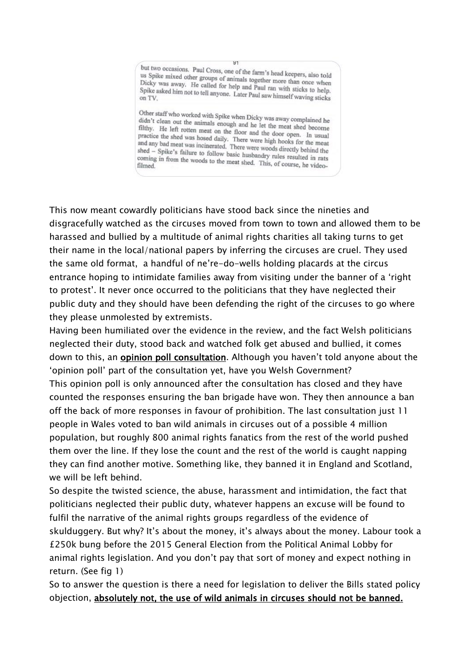but two occasions. Paul Cross, one of the farm's head keepers, also told<br>us Spike mixed other groups of animals together us Spike mixed other groups of animals together more than once when<br>Dicky was away. He called for help and Brad Brad once when Dicky was away. He called for help and Paul ran with sticks to help.<br>Spike asked him not to tell anyone. I ater Boul ran with sticks to help. Spike asked him not to tell anyone. Later Paul saw himself waving sticks on TV.

 $341$ 

Other staff who worked with Spike when Dicky was away complained he didn't clean out the animals enough and he let the matrix of didn't clean out the animals enough and he let the meat shed become<br>filthy. He left rotten meat on the floor and the detailed become filthy. He left rotten meat on the floor and the let the meat shed become<br>practice the shed was hosed daily. There were kick to open. In usual practice the shed was hosed daily. There were high hooks for the meat<br>and any bad meat was incinerated. There were high hooks for the meat and any bad meat was nosed daily. There were high hooks for the meat<br>and any bad meat was incinerated. There were woods directly behind the<br>shed – Spike's failure to follow heric hyphodoxy shed – Spike's failure to follow basic husbandry rules resulted in rats<br>coming in from the woods to the meet shed. The set of the state of in rats coming in from the woods to the meat shed. This, of course, he video-<br>filmed.

This now meant cowardly politicians have stood back since the nineties and disgracefully watched as the circuses moved from town to town and allowed them to be harassed and bullied by a multitude of animal rights charities all taking turns to get their name in the local/national papers by inferring the circuses are cruel. They used the same old format, a handful of ne're-do-wells holding placards at the circus entrance hoping to intimidate families away from visiting under the banner of a 'right to protest'. It never once occurred to the politicians that they have neglected their public duty and they should have been defending the right of the circuses to go where they please unmolested by extremists.

Having been humiliated over the evidence in the review, and the fact Welsh politicians neglected their duty, stood back and watched folk get abused and bullied, it comes down to this, an **opinion poll consultation**. Although you haven't told anyone about the 'opinion poll' part of the consultation yet, have you Welsh Government? This opinion poll is only announced after the consultation has closed and they have counted the responses ensuring the ban brigade have won. They then announce a ban off the back of more responses in favour of prohibition. The last consultation just 11 people in Wales voted to ban wild animals in circuses out of a possible 4 million population, but roughly 800 animal rights fanatics from the rest of the world pushed them over the line. If they lose the count and the rest of the world is caught napping they can find another motive. Something like, they banned it in England and Scotland, we will be left behind.

So despite the twisted science, the abuse, harassment and intimidation, the fact that politicians neglected their public duty, whatever happens an excuse will be found to fulfil the narrative of the animal rights groups regardless of the evidence of skulduggery. But why? It's about the money, it's always about the money. Labour took a £250k bung before the 2015 General Election from the Political Animal Lobby for animal rights legislation. And you don't pay that sort of money and expect nothing in return. (See fig 1)

So to answer the question is there a need for legislation to deliver the Bills stated policy objection, absolutely not, the use of wild animals in circuses should not be banned.